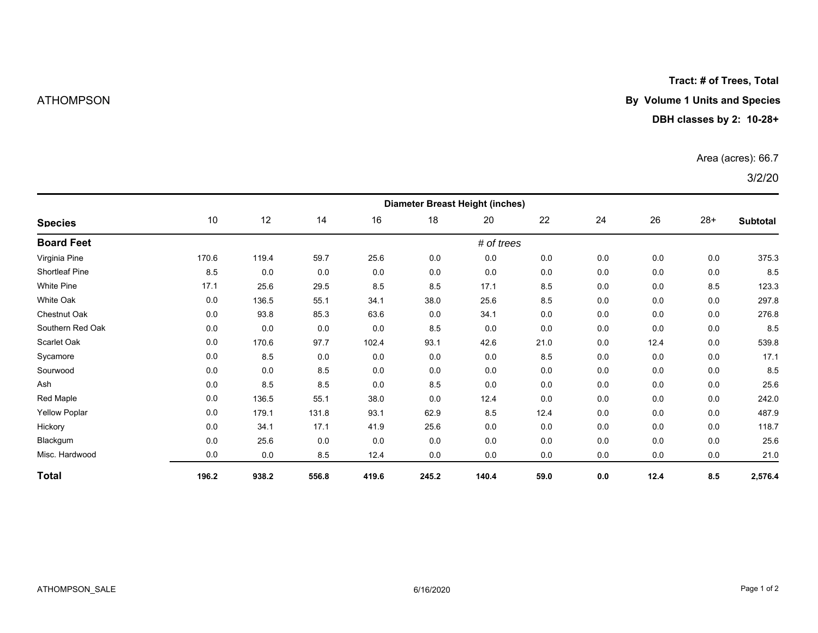## **Tract: # of Trees, Total**

# ATHOMPSON **By Volume 1 Units and Species**

### **DBH classes by 2: 10-28+**

### Area (acres): 66.7

# 3/2/20

| <b>Species</b>        | <b>Diameter Breast Height (inches)</b> |       |       |       |       |       |      |     |      |       |          |  |
|-----------------------|----------------------------------------|-------|-------|-------|-------|-------|------|-----|------|-------|----------|--|
|                       | 10                                     | 12    | 14    | 16    | 18    | 20    | 22   | 24  | 26   | $28+$ | Subtotal |  |
| <b>Board Feet</b>     | # of trees                             |       |       |       |       |       |      |     |      |       |          |  |
| Virginia Pine         | 170.6                                  | 119.4 | 59.7  | 25.6  | 0.0   | 0.0   | 0.0  | 0.0 | 0.0  | 0.0   | 375.3    |  |
| <b>Shortleaf Pine</b> | 8.5                                    | 0.0   | 0.0   | 0.0   | 0.0   | 0.0   | 0.0  | 0.0 | 0.0  | 0.0   | 8.5      |  |
| White Pine            | 17.1                                   | 25.6  | 29.5  | 8.5   | 8.5   | 17.1  | 8.5  | 0.0 | 0.0  | 8.5   | 123.3    |  |
| <b>White Oak</b>      | 0.0                                    | 136.5 | 55.1  | 34.1  | 38.0  | 25.6  | 8.5  | 0.0 | 0.0  | 0.0   | 297.8    |  |
| Chestnut Oak          | 0.0                                    | 93.8  | 85.3  | 63.6  | 0.0   | 34.1  | 0.0  | 0.0 | 0.0  | 0.0   | 276.8    |  |
| Southern Red Oak      | 0.0                                    | 0.0   | 0.0   | 0.0   | 8.5   | 0.0   | 0.0  | 0.0 | 0.0  | 0.0   | 8.5      |  |
| Scarlet Oak           | 0.0                                    | 170.6 | 97.7  | 102.4 | 93.1  | 42.6  | 21.0 | 0.0 | 12.4 | 0.0   | 539.8    |  |
| Sycamore              | 0.0                                    | 8.5   | 0.0   | 0.0   | 0.0   | 0.0   | 8.5  | 0.0 | 0.0  | 0.0   | 17.1     |  |
| Sourwood              | 0.0                                    | 0.0   | 8.5   | 0.0   | 0.0   | 0.0   | 0.0  | 0.0 | 0.0  | 0.0   | 8.5      |  |
| Ash                   | 0.0                                    | 8.5   | 8.5   | 0.0   | 8.5   | 0.0   | 0.0  | 0.0 | 0.0  | 0.0   | 25.6     |  |
| Red Maple             | 0.0                                    | 136.5 | 55.1  | 38.0  | 0.0   | 12.4  | 0.0  | 0.0 | 0.0  | 0.0   | 242.0    |  |
| <b>Yellow Poplar</b>  | 0.0                                    | 179.1 | 131.8 | 93.1  | 62.9  | 8.5   | 12.4 | 0.0 | 0.0  | 0.0   | 487.9    |  |
| Hickory               | 0.0                                    | 34.1  | 17.1  | 41.9  | 25.6  | 0.0   | 0.0  | 0.0 | 0.0  | 0.0   | 118.7    |  |
| Blackgum              | 0.0                                    | 25.6  | 0.0   | 0.0   | 0.0   | 0.0   | 0.0  | 0.0 | 0.0  | 0.0   | 25.6     |  |
| Misc. Hardwood        | 0.0                                    | 0.0   | 8.5   | 12.4  | 0.0   | 0.0   | 0.0  | 0.0 | 0.0  | 0.0   | 21.0     |  |
| <b>Total</b>          | 196.2                                  | 938.2 | 556.8 | 419.6 | 245.2 | 140.4 | 59.0 | 0.0 | 12.4 | 8.5   | 2,576.4  |  |